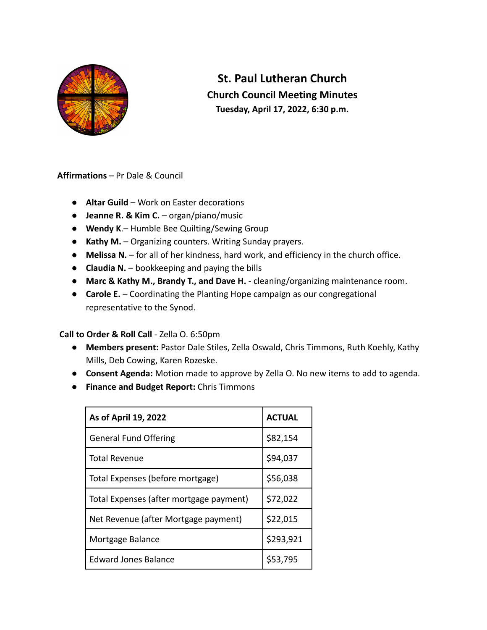

# **St. Paul Lutheran Church Church Council Meeting Minutes Tuesday, April 17, 2022, 6:30 p.m.**

**Affirmations** – Pr Dale & Council

- **Altar Guild** Work on Easter decorations
- **Jeanne R. & Kim C.** organ/piano/music
- **Wendy K**.– Humble Bee Quilting/Sewing Group
- **Kathy M.** Organizing counters. Writing Sunday prayers.
- **Melissa N.** for all of her kindness, hard work, and efficiency in the church office.
- **Claudia N.** bookkeeping and paying the bills
- **Marc & Kathy M., Brandy T., and Dave H.** cleaning/organizing maintenance room.
- **Carole E.** Coordinating the Planting Hope campaign as our congregational representative to the Synod.

#### **Call to Order & Roll Call** - Zella O. 6:50pm

- **Members present:** Pastor Dale Stiles, Zella Oswald, Chris Timmons, Ruth Koehly, Kathy Mills, Deb Cowing, Karen Rozeske.
- **Consent Agenda:** Motion made to approve by Zella O. No new items to add to agenda.
- **Finance and Budget Report:** Chris Timmons

| As of April 19, 2022                    | <b>ACTUAL</b> |
|-----------------------------------------|---------------|
| <b>General Fund Offering</b>            | \$82,154      |
| <b>Total Revenue</b>                    | \$94,037      |
| Total Expenses (before mortgage)        | \$56,038      |
| Total Expenses (after mortgage payment) | \$72,022      |
| Net Revenue (after Mortgage payment)    | \$22,015      |
| Mortgage Balance                        | \$293,921     |
| <b>Edward Jones Balance</b>             | \$53,795      |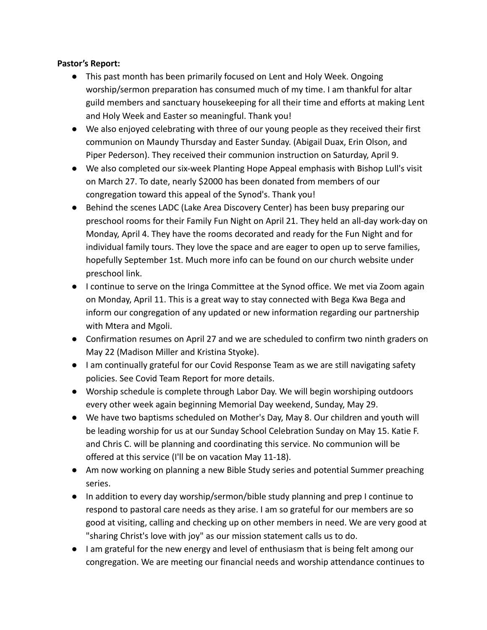#### **Pastor's Report:**

- This past month has been primarily focused on Lent and Holy Week. Ongoing worship/sermon preparation has consumed much of my time. I am thankful for altar guild members and sanctuary housekeeping for all their time and efforts at making Lent and Holy Week and Easter so meaningful. Thank you!
- We also enjoyed celebrating with three of our young people as they received their first communion on Maundy Thursday and Easter Sunday. (Abigail Duax, Erin Olson, and Piper Pederson). They received their communion instruction on Saturday, April 9.
- We also completed our six-week Planting Hope Appeal emphasis with Bishop Lull's visit on March 27. To date, nearly \$2000 has been donated from members of our congregation toward this appeal of the Synod's. Thank you!
- Behind the scenes LADC (Lake Area Discovery Center) has been busy preparing our preschool rooms for their Family Fun Night on April 21. They held an all-day work-day on Monday, April 4. They have the rooms decorated and ready for the Fun Night and for individual family tours. They love the space and are eager to open up to serve families, hopefully September 1st. Much more info can be found on our church website under preschool link.
- I continue to serve on the Iringa Committee at the Synod office. We met via Zoom again on Monday, April 11. This is a great way to stay connected with Bega Kwa Bega and inform our congregation of any updated or new information regarding our partnership with Mtera and Mgoli.
- Confirmation resumes on April 27 and we are scheduled to confirm two ninth graders on May 22 (Madison Miller and Kristina Styoke).
- I am continually grateful for our Covid Response Team as we are still navigating safety policies. See Covid Team Report for more details.
- Worship schedule is complete through Labor Day. We will begin worshiping outdoors every other week again beginning Memorial Day weekend, Sunday, May 29.
- We have two baptisms scheduled on Mother's Day, May 8. Our children and youth will be leading worship for us at our Sunday School Celebration Sunday on May 15. Katie F. and Chris C. will be planning and coordinating this service. No communion will be offered at this service (I'll be on vacation May 11-18).
- Am now working on planning a new Bible Study series and potential Summer preaching series.
- In addition to every day worship/sermon/bible study planning and prep I continue to respond to pastoral care needs as they arise. I am so grateful for our members are so good at visiting, calling and checking up on other members in need. We are very good at "sharing Christ's love with joy" as our mission statement calls us to do.
- I am grateful for the new energy and level of enthusiasm that is being felt among our congregation. We are meeting our financial needs and worship attendance continues to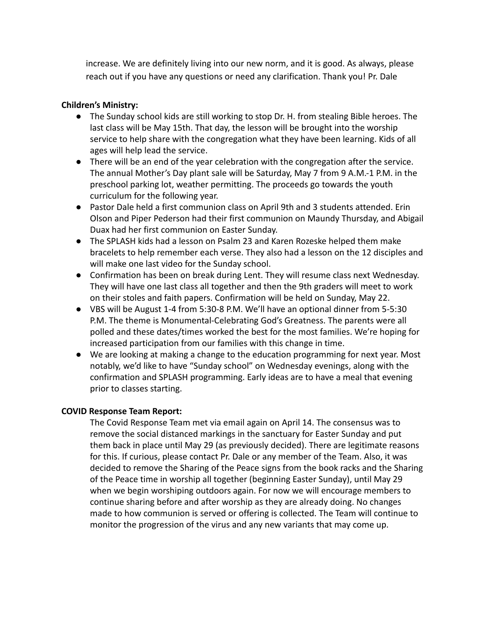increase. We are definitely living into our new norm, and it is good. As always, please reach out if you have any questions or need any clarification. Thank you! Pr. Dale

## **Children's Ministry:**

- The Sunday school kids are still working to stop Dr. H. from stealing Bible heroes. The last class will be May 15th. That day, the lesson will be brought into the worship service to help share with the congregation what they have been learning. Kids of all ages will help lead the service.
- There will be an end of the year celebration with the congregation after the service. The annual Mother's Day plant sale will be Saturday, May 7 from 9 A.M.-1 P.M. in the preschool parking lot, weather permitting. The proceeds go towards the youth curriculum for the following year.
- Pastor Dale held a first communion class on April 9th and 3 students attended. Erin Olson and Piper Pederson had their first communion on Maundy Thursday, and Abigail Duax had her first communion on Easter Sunday.
- The SPLASH kids had a lesson on Psalm 23 and Karen Rozeske helped them make bracelets to help remember each verse. They also had a lesson on the 12 disciples and will make one last video for the Sunday school.
- Confirmation has been on break during Lent. They will resume class next Wednesday. They will have one last class all together and then the 9th graders will meet to work on their stoles and faith papers. Confirmation will be held on Sunday, May 22.
- VBS will be August 1-4 from 5:30-8 P.M. We'll have an optional dinner from 5-5:30 P.M. The theme is Monumental-Celebrating God's Greatness. The parents were all polled and these dates/times worked the best for the most families. We're hoping for increased participation from our families with this change in time.
- We are looking at making a change to the education programming for next year. Most notably, we'd like to have "Sunday school" on Wednesday evenings, along with the confirmation and SPLASH programming. Early ideas are to have a meal that evening prior to classes starting.

# **COVID Response Team Report:**

The Covid Response Team met via email again on April 14. The consensus was to remove the social distanced markings in the sanctuary for Easter Sunday and put them back in place until May 29 (as previously decided). There are legitimate reasons for this. If curious, please contact Pr. Dale or any member of the Team. Also, it was decided to remove the Sharing of the Peace signs from the book racks and the Sharing of the Peace time in worship all together (beginning Easter Sunday), until May 29 when we begin worshiping outdoors again. For now we will encourage members to continue sharing before and after worship as they are already doing. No changes made to how communion is served or offering is collected. The Team will continue to monitor the progression of the virus and any new variants that may come up.